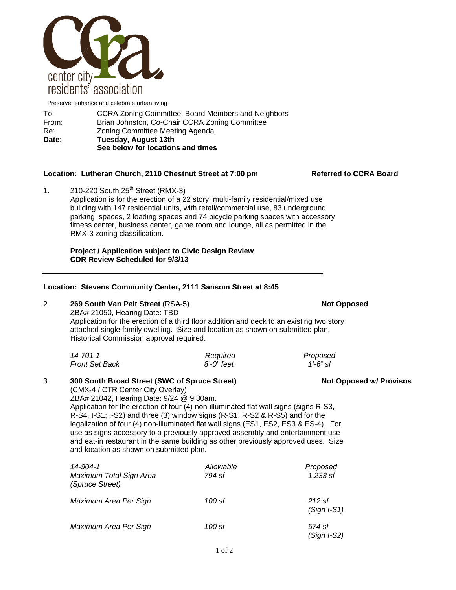

|                                                        | R-S4, I-S1; I-S2) and three (3) window signs (R-S1, R-S2 & R-S5) and for the<br>legalization of four (4) non-illuminated flat wall signs (ES1, ES2, ES3 & ES-4). For<br>use as signs accessory to a previously approved assembly and entertainment use<br>and eat-in restaurant in the same building as other previously approved uses. Size<br>and location as shown on submitted plan. |                         |  |  |  |
|--------------------------------------------------------|------------------------------------------------------------------------------------------------------------------------------------------------------------------------------------------------------------------------------------------------------------------------------------------------------------------------------------------------------------------------------------------|-------------------------|--|--|--|
| 14-904-1<br>Maximum Total Sign Area<br>(Spruce Street) | Allowable<br>794 sf                                                                                                                                                                                                                                                                                                                                                                      | Proposed<br>1,233 sf    |  |  |  |
| Maximum Area Per Sign                                  | 100 sf                                                                                                                                                                                                                                                                                                                                                                                   | 212 sf<br>$(Sign I-S1)$ |  |  |  |

*Maximum Area Per Sign 100 sf 574 sf* 

# Historical Commission approval required.

| 14-701-1              | Required   | Proposed |
|-----------------------|------------|----------|
| <b>Front Set Back</b> | 8'-0" feet | 1'-6" sf |

Application for the erection of four (4) non-illuminated flat wall signs (signs R-S3,

| Application for the erection of a third floor addition and deck to an existing two s |  |  |
|--------------------------------------------------------------------------------------|--|--|
| attached single family dwelling. Size and location as shown on submitted plan.       |  |  |

**Project / Application subject to Civic Design Review** 

ZBA# 21050, Hearing Date: TBD

 **CDR Review Scheduled for 9/3/13** 

(CMX-4 / CTR Center City Overlay)

ZBA# 21042, Hearing Date: 9/24 @ 9:30am.

kisting two story

**Location: Stevens Community Center, 2111 Sansom Street at 8:45** 2. **269 South Van Pelt Street** (RSA-5) **Not Opposed**

1.  $210-220$  South  $25<sup>th</sup>$  Street (RMX-3) Application is for the erection of a 22 story, multi-family residential/mixed use building with 147 residential units, with retail/commercial use, 83 underground parking spaces, 2 loading spaces and 74 bicycle parking spaces with accessory fitness center, business center, game room and lounge, all as permitted in the RMX-3 zoning classification.

## Location: Lutheran Church, 2110 Chestnut Street at 7:00 pm Referred to CCRA Board

Re: Zoning Committee Meeting Agenda **Date: Tuesday, August 13th** 

## From: Brian Johnston, Co-Chair CCRA Zoning Committee

center city

residents' association

**See below for locations and times** 

To: CCRA Zoning Committee, Board Members and Neighbors Preserve, enhance and celebrate urban living

3. **300 South Broad Street (SWC of Spruce Street) Not Opposed w/ Provisos**

 *(Sign I-S2)*